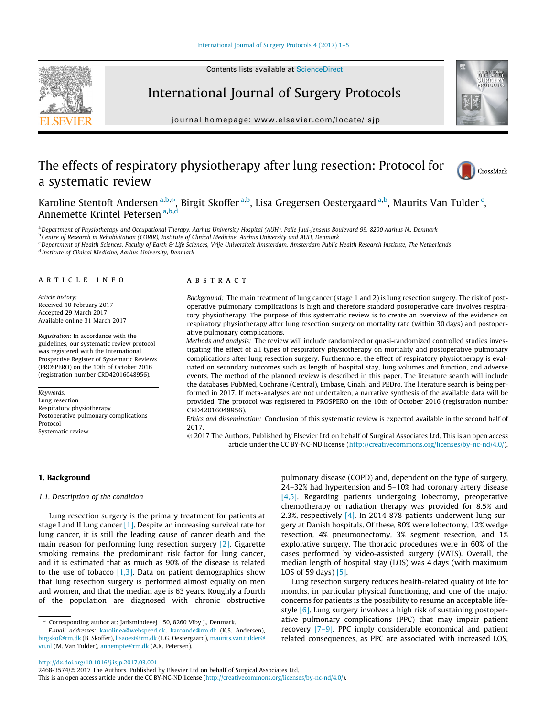



journal homepage: [www.elsevier.com/locate/isjp](http://www.elsevier.com/locate/isjp)

International Journal of Surgery Protocols

# The effects of respiratory physiotherapy after lung resection: Protocol for a systematic review



Karoline Stentoft Andersen <sup>a,b,</sup>\*, Birgit Skoffer <sup>a,b</sup>, Lisa Gregersen Oestergaard <sup>a,b</sup>, Maurits Van Tulder <sup>c</sup>, Annemette Krintel Petersen a,b,d

<sup>a</sup> Department of Physiotherapy and Occupational Therapy, Aarhus University Hospital (AUH), Palle Juul-Jensens Boulevard 99, 8200 Aarhus N., Denmark **b Centre of Research in Rehabilitation (CORIR), Institute of Clinical Medicine, Aarhus University and AUH, Denmark** 

<sup>c</sup>Department of Health Sciences, Faculty of Earth & Life Sciences, Vrije Universiteit Amsterdam, Amsterdam Public Health Research Institute, The Netherlands <sup>d</sup> Institute of Clinical Medicine, Aarhus University, Denmark

# article info

Article history: Received 10 February 2017 Accepted 29 March 2017 Available online 31 March 2017

Registration: In accordance with the guidelines, our systematic review protocol was registered with the International Prospective Register of Systematic Reviews (PROSPERO) on the 10th of October 2016 (registration number CRD42016048956).

Keywords: Lung resection Respiratory physiotherapy Postoperative pulmonary complications Protocol Systematic review

## ABSTRACT

Background: The main treatment of lung cancer (stage 1 and 2) is lung resection surgery. The risk of postoperative pulmonary complications is high and therefore standard postoperative care involves respiratory physiotherapy. The purpose of this systematic review is to create an overview of the evidence on respiratory physiotherapy after lung resection surgery on mortality rate (within 30 days) and postoperative pulmonary complications.

Methods and analysis: The review will include randomized or quasi-randomized controlled studies investigating the effect of all types of respiratory physiotherapy on mortality and postoperative pulmonary complications after lung resection surgery. Furthermore, the effect of respiratory physiotherapy is evaluated on secondary outcomes such as length of hospital stay, lung volumes and function, and adverse events. The method of the planned review is described in this paper. The literature search will include the databases PubMed, Cochrane (Central), Embase, Cinahl and PEDro. The literature search is being performed in 2017. If meta-analyses are not undertaken, a narrative synthesis of the available data will be provided. The protocol was registered in PROSPERO on the 10th of October 2016 (registration number CRD42016048956).

Ethics and dissemination: Conclusion of this systematic review is expected available in the second half of 2017.

 2017 The Authors. Published by Elsevier Ltd on behalf of Surgical Associates Ltd. This is an open access article under the CC BY-NC-ND license (<http://creativecommons.org/licenses/by-nc-nd/4.0/>).

### 1. Background

## 1.1. Description of the condition

Lung resection surgery is the primary treatment for patients at stage I and II lung cancer [\[1\].](#page-4-0) Despite an increasing survival rate for lung cancer, it is still the leading cause of cancer death and the main reason for performing lung resection surgery [\[2\]](#page-4-0). Cigarette smoking remains the predominant risk factor for lung cancer, and it is estimated that as much as 90% of the disease is related to the use of tobacco  $[1,3]$ . Data on patient demographics show that lung resection surgery is performed almost equally on men and women, and that the median age is 63 years. Roughly a fourth of the population are diagnosed with chronic obstructive

pulmonary disease (COPD) and, dependent on the type of surgery, 24–32% had hypertension and 5–10% had coronary artery disease [\[4,5\].](#page-4-0) Regarding patients undergoing lobectomy, preoperative chemotherapy or radiation therapy was provided for 8.5% and 2.3%, respectively [\[4\].](#page-4-0) In 2014 878 patients underwent lung surgery at Danish hospitals. Of these, 80% were lobectomy, 12% wedge resection, 4% pneumonectomy, 3% segment resection, and 1% explorative surgery. The thoracic procedures were in 60% of the cases performed by video-assisted surgery (VATS). Overall, the median length of hospital stay (LOS) was 4 days (with maximum LOS of 59 days) [\[5\]](#page-4-0).

Lung resection surgery reduces health-related quality of life for months, in particular physical functioning, and one of the major concerns for patients is the possibility to resume an acceptable lifestyle [\[6\].](#page-4-0) Lung surgery involves a high risk of sustaining postoperative pulmonary complications (PPC) that may impair patient recovery [\[7–9\]](#page-4-0). PPC imply considerable economical and patient related consequences, as PPC are associated with increased LOS,

<sup>⇑</sup> Corresponding author at: Jarlsmindevej 150, 8260 Viby J., Denmark.

E-mail addresses: [karolinea@webspeed.dk](mailto:karolinea@webspeed.dk), [karoande@rm.dk](mailto:karoande@rm.dk) (K.S. Andersen), [birgskof@rm.dk](mailto:birgskof@rm.dk) (B. Skoffer), [lisaoest@rm.dk](mailto:lisaoest@rm.dk) (L.G. Oestergaard), [maurits.van.tulder@](mailto:maurits.van. ulder@vu.nl) [vu.nl](mailto:maurits.van. ulder@vu.nl) (M. Van Tulder), [annempte@rm.dk](mailto:annempte@rm.dk) (A.K. Petersen).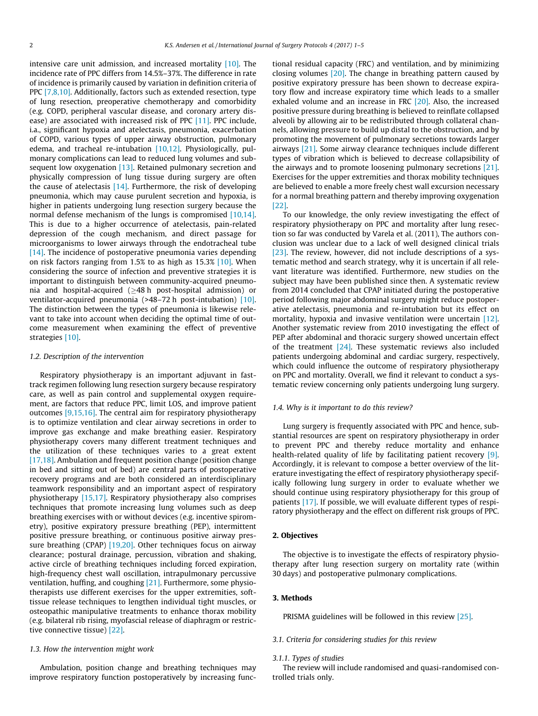intensive care unit admission, and increased mortality [\[10\]](#page-4-0). The incidence rate of PPC differs from 14.5%–37%. The difference in rate of incidence is primarily caused by variation in definition criteria of PPC [\[7,8,10\].](#page-4-0) Additionally, factors such as extended resection, type of lung resection, preoperative chemotherapy and comorbidity (e.g. COPD, peripheral vascular disease, and coronary artery dis-ease) are associated with increased risk of PPC [\[11\].](#page-4-0) PPC include, i.a., significant hypoxia and atelectasis, pneumonia, exacerbation of COPD, various types of upper airway obstruction, pulmonary edema, and tracheal re-intubation [\[10,12\]](#page-4-0). Physiologically, pulmonary complications can lead to reduced lung volumes and sub-sequent low oxygenation [\[13\]](#page-4-0). Retained pulmonary secretion and physically compression of lung tissue during surgery are often the cause of atelectasis [\[14\].](#page-4-0) Furthermore, the risk of developing pneumonia, which may cause purulent secretion and hypoxia, is higher in patients undergoing lung resection surgery because the normal defense mechanism of the lungs is compromised [\[10,14\].](#page-4-0) This is due to a higher occurrence of atelectasis, pain-related depression of the cough mechanism, and direct passage for microorganisms to lower airways through the endotracheal tube  $[14]$ . The incidence of postoperative pneumonia varies depending on risk factors ranging from 1.5% to as high as 15.3% [\[10\]](#page-4-0). When considering the source of infection and preventive strategies it is important to distinguish between community-acquired pneumonia and hospital-acquired ( $\geq$ 48 h post-hospital admission) or ventilator-acquired pneumonia (>48–72 h post-intubation) [\[10\].](#page-4-0) The distinction between the types of pneumonia is likewise relevant to take into account when deciding the optimal time of outcome measurement when examining the effect of preventive strategies [\[10\]](#page-4-0).

#### 1.2. Description of the intervention

Respiratory physiotherapy is an important adjuvant in fasttrack regimen following lung resection surgery because respiratory care, as well as pain control and supplemental oxygen requirement, are factors that reduce PPC, limit LOS, and improve patient outcomes [\[9,15,16\]](#page-4-0). The central aim for respiratory physiotherapy is to optimize ventilation and clear airway secretions in order to improve gas exchange and make breathing easier. Respiratory physiotherapy covers many different treatment techniques and the utilization of these techniques varies to a great extent [\[17,18\].](#page-4-0) Ambulation and frequent position change (position change in bed and sitting out of bed) are central parts of postoperative recovery programs and are both considered an interdisciplinary teamwork responsibility and an important aspect of respiratory physiotherapy [\[15,17\]](#page-4-0). Respiratory physiotherapy also comprises techniques that promote increasing lung volumes such as deep breathing exercises with or without devices (e.g. incentive spirometry), positive expiratory pressure breathing (PEP), intermittent positive pressure breathing, or continuous positive airway pres-sure breathing (CPAP) [\[19,20\].](#page-4-0) Other techniques focus on airway clearance; postural drainage, percussion, vibration and shaking, active circle of breathing techniques including forced expiration, high-frequency chest wall oscillation, intrapulmonary percussive ventilation, huffing, and coughing [\[21\]](#page-4-0). Furthermore, some physiotherapists use different exercises for the upper extremities, softtissue release techniques to lengthen individual tight muscles, or osteopathic manipulative treatments to enhance thorax mobility (e.g. bilateral rib rising, myofascial release of diaphragm or restrictive connective tissue) [\[22\]](#page-4-0).

#### 1.3. How the intervention might work

Ambulation, position change and breathing techniques may improve respiratory function postoperatively by increasing functional residual capacity (FRC) and ventilation, and by minimizing closing volumes [\[20\].](#page-4-0) The change in breathing pattern caused by positive expiratory pressure has been shown to decrease expiratory flow and increase expiratory time which leads to a smaller exhaled volume and an increase in FRC [\[20\]](#page-4-0). Also, the increased positive pressure during breathing is believed to reinflate collapsed alveoli by allowing air to be redistributed through collateral channels, allowing pressure to build up distal to the obstruction, and by promoting the movement of pulmonary secretions towards larger airways [\[21\].](#page-4-0) Some airway clearance techniques include different types of vibration which is believed to decrease collapsibility of the airways and to promote loosening pulmonary secretions [\[21\].](#page-4-0) Exercises for the upper extremities and thorax mobility techniques are believed to enable a more freely chest wall excursion necessary for a normal breathing pattern and thereby improving oxygenation [\[22\]](#page-4-0).

To our knowledge, the only review investigating the effect of respiratory physiotherapy on PPC and mortality after lung resection so far was conducted by Varela et al. (2011), The authors conclusion was unclear due to a lack of well designed clinical trials [\[23\]](#page-4-0). The review, however, did not include descriptions of a systematic method and search strategy, why it is uncertain if all relevant literature was identified. Furthermore, new studies on the subject may have been published since then. A systematic review from 2014 concluded that CPAP initiated during the postoperative period following major abdominal surgery might reduce postoperative atelectasis, pneumonia and re-intubation but its effect on mortality, hypoxia and invasive ventilation were uncertain [\[12\].](#page-4-0) Another systematic review from 2010 investigating the effect of PEP after abdominal and thoracic surgery showed uncertain effect of the treatment  $[24]$ . These systematic reviews also included patients undergoing abdominal and cardiac surgery, respectively, which could influence the outcome of respiratory physiotherapy on PPC and mortality. Overall, we find it relevant to conduct a systematic review concerning only patients undergoing lung surgery.

#### 1.4. Why is it important to do this review?

Lung surgery is frequently associated with PPC and hence, substantial resources are spent on respiratory physiotherapy in order to prevent PPC and thereby reduce mortality and enhance health-related quality of life by facilitating patient recovery [\[9\].](#page-4-0) Accordingly, it is relevant to compose a better overview of the literature investigating the effect of respiratory physiotherapy specifically following lung surgery in order to evaluate whether we should continue using respiratory physiotherapy for this group of patients [\[17\]](#page-4-0). If possible, we will evaluate different types of respiratory physiotherapy and the effect on different risk groups of PPC.

## 2. Objectives

The objective is to investigate the effects of respiratory physiotherapy after lung resection surgery on mortality rate (within 30 days) and postoperative pulmonary complications.

## 3. Methods

PRISMA guidelines will be followed in this review [\[25\].](#page-4-0)

#### 3.1. Criteria for considering studies for this review

#### 3.1.1. Types of studies

The review will include randomised and quasi-randomised controlled trials only.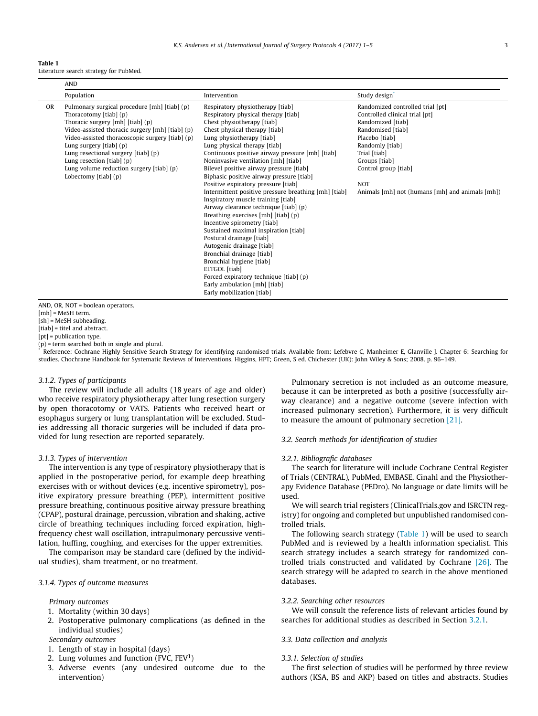| Table |  |  |
|-------|--|--|
|       |  |  |

|           | <b>AND</b>                                                                                                                                                                                                                                                                                                                                                                                    |                                                                                                                                                                                                                                                                                                                                                                                                                                                                                                                                                                                                                                                                                                                                                                                                                                                                                                                            |                                                                                                                                                                                                                                                                             |  |  |  |
|-----------|-----------------------------------------------------------------------------------------------------------------------------------------------------------------------------------------------------------------------------------------------------------------------------------------------------------------------------------------------------------------------------------------------|----------------------------------------------------------------------------------------------------------------------------------------------------------------------------------------------------------------------------------------------------------------------------------------------------------------------------------------------------------------------------------------------------------------------------------------------------------------------------------------------------------------------------------------------------------------------------------------------------------------------------------------------------------------------------------------------------------------------------------------------------------------------------------------------------------------------------------------------------------------------------------------------------------------------------|-----------------------------------------------------------------------------------------------------------------------------------------------------------------------------------------------------------------------------------------------------------------------------|--|--|--|
|           | Population                                                                                                                                                                                                                                                                                                                                                                                    | Intervention                                                                                                                                                                                                                                                                                                                                                                                                                                                                                                                                                                                                                                                                                                                                                                                                                                                                                                               | Study design                                                                                                                                                                                                                                                                |  |  |  |
| <b>OR</b> | Pulmonary surgical procedure [mh] [tiab] (p)<br>Thoracotomy $[tiab]$ (p)<br>Thoracic surgery [mh] [tiab] (p)<br>Video-assisted thoracic surgery [mh] [tiab] (p)<br>Video-assisted thoracoscopic surgery [tiab] (p)<br>Lung surgery $[tiab]$ (p)<br>Lung resectional surgery [tiab] (p)<br>Lung resection $[tiab]$ (p)<br>Lung volume reduction surgery $[tiab]$ $(p)$<br>Lobectomy [tiab] (p) | Respiratory physiotherapy [tiab]<br>Respiratory physical therapy [tiab]<br>Chest physiotherapy [tiab]<br>Chest physical therapy [tiab]<br>Lung physiotherapy [tiab]<br>Lung physical therapy [tiab]<br>Continuous positive airway pressure [mh] [tiab]<br>Noninvasive ventilation [mh] [tiab]<br>Bilevel positive airway pressure [tiab]<br>Biphasic positive airway pressure [tiab]<br>Positive expiratory pressure [tiab]<br>Intermittent positive pressure breathing [mh] [tiab]<br>Inspiratory muscle training [tiab]<br>Airway clearance technique [tiab] (p)<br>Breathing exercises [mh] [tiab] (p)<br>Incentive spirometry [tiab]<br>Sustained maximal inspiration [tiab]<br>Postural drainage [tiab]<br>Autogenic drainage [tiab]<br>Bronchial drainage [tiab]<br>Bronchial hygiene [tiab]<br>ELTGOL [tiab]<br>Forced expiratory technique [tiab] (p)<br>Early ambulation [mh] [tiab]<br>Early mobilization [tiab] | Randomized controlled trial [pt]<br>Controlled clinical trial [pt]<br>Randomized [tiab]<br>Randomised [tiab]<br>Placebo [tiab]<br>Randomly [tiab]<br>Trial [tiab]<br>Groups [tiab]<br>Control group [tiab]<br><b>NOT</b><br>Animals [mh] not (humans [mh] and animals [mh]) |  |  |  |

AND, OR, NOT = boolean operators.

[mh] = MeSH term.

[sh] = MeSH subheading.

[tiab] = titel and abstract.

[pt] = publication type.

(p) = term searched both in single and plural.

Reference: Cochrane Highly Sensitive Search Strategy for identifying randomised trials. Available from: Lefebvre C, Manheimer E, Glanville J. Chapter 6: Searching for studies. Chochrane Handbook for Systematic Reviews of Interventions. Higgins, HPT; Green, S ed. Chichester (UK): John Wiley & Sons; 2008. p. 96–149.

#### 3.1.2. Types of participants

The review will include all adults (18 years of age and older) who receive respiratory physiotherapy after lung resection surgery by open thoracotomy or VATS. Patients who received heart or esophagus surgery or lung transplantation will be excluded. Studies addressing all thoracic surgeries will be included if data provided for lung resection are reported separately.

#### 3.1.3. Types of intervention

The intervention is any type of respiratory physiotherapy that is applied in the postoperative period, for example deep breathing exercises with or without devices (e.g. incentive spirometry), positive expiratory pressure breathing (PEP), intermittent positive pressure breathing, continuous positive airway pressure breathing (CPAP), postural drainage, percussion, vibration and shaking, active circle of breathing techniques including forced expiration, highfrequency chest wall oscillation, intrapulmonary percussive ventilation, huffing, coughing, and exercises for the upper extremities.

The comparison may be standard care (defined by the individual studies), sham treatment, or no treatment.

## 3.1.4. Types of outcome measures

Primary outcomes

- 1. Mortality (within 30 days)
- 2. Postoperative pulmonary complications (as defined in the individual studies)
- Secondary outcomes
- 1. Length of stay in hospital (days)
- 2. Lung volumes and function (FVC,  $FEV<sup>1</sup>$ )
- 3. Adverse events (any undesired outcome due to the intervention)

Pulmonary secretion is not included as an outcome measure, because it can be interpreted as both a positive (successfully airway clearance) and a negative outcome (severe infection with increased pulmonary secretion). Furthermore, it is very difficult to measure the amount of pulmonary secretion [\[21\]](#page-4-0).

#### 3.2. Search methods for identification of studies

#### 3.2.1. Bibliografic databases

The search for literature will include Cochrane Central Register of Trials (CENTRAL), PubMed, EMBASE, Cinahl and the Physiotherapy Evidence Database (PEDro). No language or date limits will be used.

We will search trial registers (ClinicalTrials.gov and ISRCTN registry) for ongoing and completed but unpublished randomised controlled trials.

The following search strategy (Table 1) will be used to search PubMed and is reviewed by a health information specialist. This search strategy includes a search strategy for randomized controlled trials constructed and validated by Cochrane [\[26\]](#page-4-0). The search strategy will be adapted to search in the above mentioned databases.

#### 3.2.2. Searching other resources

We will consult the reference lists of relevant articles found by searches for additional studies as described in Section 3.2.1.

#### 3.3. Data collection and analysis

#### 3.3.1. Selection of studies

The first selection of studies will be performed by three review authors (KSA, BS and AKP) based on titles and abstracts. Studies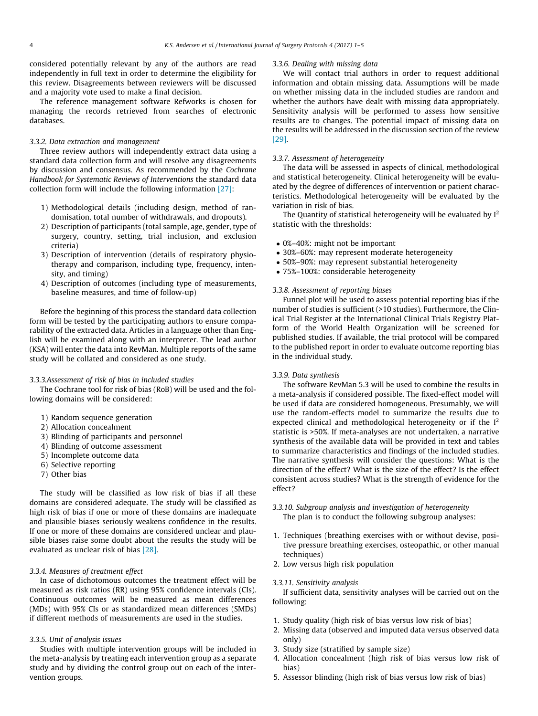considered potentially relevant by any of the authors are read independently in full text in order to determine the eligibility for this review. Disagreements between reviewers will be discussed and a majority vote used to make a final decision.

The reference management software Refworks is chosen for managing the records retrieved from searches of electronic databases.

#### 3.3.2. Data extraction and management

Three review authors will independently extract data using a standard data collection form and will resolve any disagreements by discussion and consensus. As recommended by the Cochrane Handbook for Systematic Reviews of Interventions the standard data collection form will include the following information [\[27\]:](#page-4-0)

- 1) Methodological details (including design, method of randomisation, total number of withdrawals, and dropouts).
- 2) Description of participants (total sample, age, gender, type of surgery, country, setting, trial inclusion, and exclusion criteria)
- 3) Description of intervention (details of respiratory physiotherapy and comparison, including type, frequency, intensity, and timing)
- 4) Description of outcomes (including type of measurements, baseline measures, and time of follow-up)

Before the beginning of this process the standard data collection form will be tested by the participating authors to ensure comparability of the extracted data. Articles in a language other than English will be examined along with an interpreter. The lead author (KSA) will enter the data into RevMan. Multiple reports of the same study will be collated and considered as one study.

#### 3.3.3.Assessment of risk of bias in included studies

The Cochrane tool for risk of bias (RoB) will be used and the following domains will be considered:

- 1) Random sequence generation
- 2) Allocation concealment
- 3) Blinding of participants and personnel
- 4) Blinding of outcome assessment
- 5) Incomplete outcome data
- 6) Selective reporting
- 7) Other bias

The study will be classified as low risk of bias if all these domains are considered adequate. The study will be classified as high risk of bias if one or more of these domains are inadequate and plausible biases seriously weakens confidence in the results. If one or more of these domains are considered unclear and plausible biases raise some doubt about the results the study will be evaluated as unclear risk of bias [\[28\]](#page-4-0).

# 3.3.4. Measures of treatment effect

In case of dichotomous outcomes the treatment effect will be measured as risk ratios (RR) using 95% confidence intervals (CIs). Continuous outcomes will be measured as mean differences (MDs) with 95% CIs or as standardized mean differences (SMDs) if different methods of measurements are used in the studies.

#### 3.3.5. Unit of analysis issues

Studies with multiple intervention groups will be included in the meta-analysis by treating each intervention group as a separate study and by dividing the control group out on each of the intervention groups.

#### 3.3.6. Dealing with missing data

We will contact trial authors in order to request additional information and obtain missing data. Assumptions will be made on whether missing data in the included studies are random and whether the authors have dealt with missing data appropriately. Sensitivity analysis will be performed to assess how sensitive results are to changes. The potential impact of missing data on the results will be addressed in the discussion section of the review [\[29\]](#page-4-0).

## 3.3.7. Assessment of heterogeneity

The data will be assessed in aspects of clinical, methodological and statistical heterogeneity. Clinical heterogeneity will be evaluated by the degree of differences of intervention or patient characteristics. Methodological heterogeneity will be evaluated by the variation in risk of bias.

The Quantity of statistical heterogeneity will be evaluated by  $I^2$ statistic with the thresholds:

- 0%–40%: might not be important
- 30%–60%: may represent moderate heterogeneity
- 50%–90%: may represent substantial heterogeneity
- 75%–100%: considerable heterogeneity

#### 3.3.8. Assessment of reporting biases

Funnel plot will be used to assess potential reporting bias if the number of studies is sufficient (>10 studies). Furthermore, the Clinical Trial Register at the International Clinical Trials Registry Platform of the World Health Organization will be screened for published studies. If available, the trial protocol will be compared to the published report in order to evaluate outcome reporting bias in the individual study.

## 3.3.9. Data synthesis

The software RevMan 5.3 will be used to combine the results in a meta-analysis if considered possible. The fixed-effect model will be used if data are considered homogeneous. Presumably, we will use the random-effects model to summarize the results due to expected clinical and methodological heterogeneity or if the  $I<sup>2</sup>$ statistic is >50%. If meta-analyses are not undertaken, a narrative synthesis of the available data will be provided in text and tables to summarize characteristics and findings of the included studies. The narrative synthesis will consider the questions: What is the direction of the effect? What is the size of the effect? Is the effect consistent across studies? What is the strength of evidence for the effect?

- 3.3.10. Subgroup analysis and investigation of heterogeneity The plan is to conduct the following subgroup analyses:
- 1. Techniques (breathing exercises with or without devise, positive pressure breathing exercises, osteopathic, or other manual techniques)
- 2. Low versus high risk population

## 3.3.11. Sensitivity analysis

If sufficient data, sensitivity analyses will be carried out on the following:

- 1. Study quality (high risk of bias versus low risk of bias)
- 2. Missing data (observed and imputed data versus observed data only)
- 3. Study size (stratified by sample size)
- 4. Allocation concealment (high risk of bias versus low risk of bias)
- 5. Assessor blinding (high risk of bias versus low risk of bias)